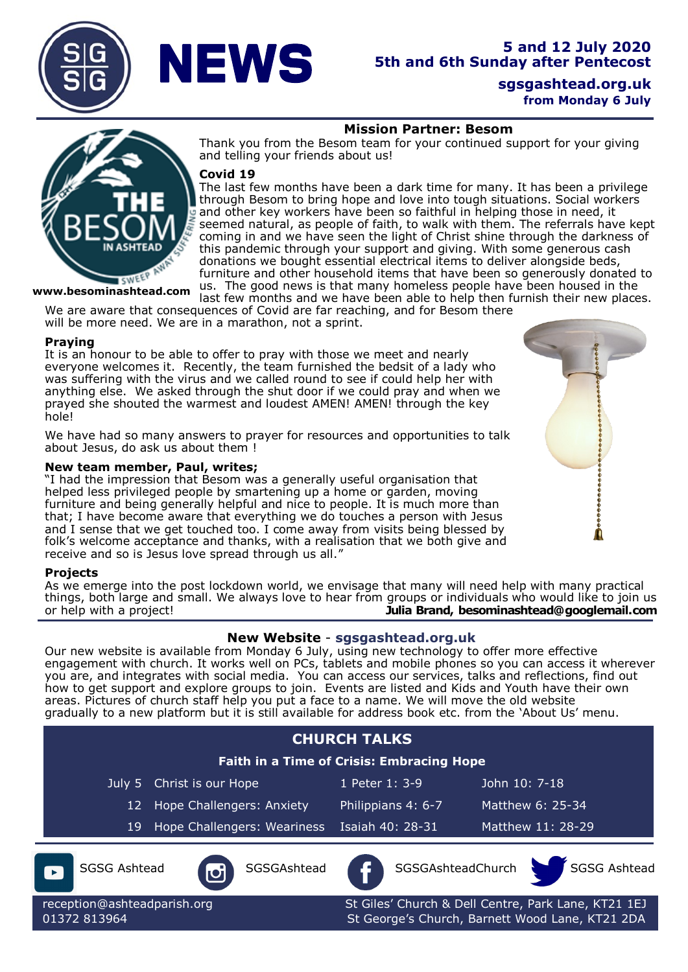

## **Mission Partner: Besom**

Thank you from the Besom team for your continued support for your giving and telling your friends about us!

### **Covid 19**

The last few months have been a dark time for many. It has been a privilege through Besom to bring hope and love into tough situations. Social workers and other key workers have been so faithful in helping those in need, it seemed natural, as people of faith, to walk with them. The referrals have kept coming in and we have seen the light of Christ shine through the darkness of this pandemic through your support and giving. With some generous cash donations we bought essential electrical items to deliver alongside beds, furniture and other household items that have been so generously donated to us. The good news is that many homeless people have been housed in the last few months and we have been able to help then furnish their new places.

**www.besominashtead.com** 

We are aware that consequences of Covid are far reaching, and for Besom there will be more need. We are in a marathon, not a sprint.

### **Praying**

It is an honour to be able to offer to pray with those we meet and nearly everyone welcomes it. Recently, the team furnished the bedsit of a lady who was suffering with the virus and we called round to see if could help her with anything else. We asked through the shut door if we could pray and when we prayed she shouted the warmest and loudest AMEN! AMEN! through the key hole!

We have had so many answers to prayer for resources and opportunities to talk about Jesus, do ask us about them !

### **New team member, Paul, writes;**

"I had the impression that Besom was a generally useful organisation that helped less privileged people by smartening up a home or garden, moving furniture and being generally helpful and nice to people. It is much more than that; I have become aware that everything we do touches a person with Jesus and I sense that we get touched too. I come away from visits being blessed by folk's welcome acceptance and thanks, with a realisation that we both give and receive and so is Jesus love spread through us all."

### **Projects**

As we emerge into the post lockdown world, we envisage that many will need help with many practical things, both large and small. We always love to hear from groups or individuals who would like to join us or help with a project! **Julia Brand, besominashtead@googlemail.com**

## **New Website** - **[sgsgashtead.org.uk](https://sgsgashtead.org.uk)**

Our new website is available from Monday 6 July, using new technology to offer more effective engagement with church. It works well on PCs, tablets and mobile phones so you can access it wherever you are, and integrates with social media. You can access our services, talks and reflections, find out how to get support and explore groups to join. Events are listed and Kids and Youth have their own areas. Pictures of church staff help you put a face to a name. We will move the old website gradually to a new platform but it is still available for address book etc. from the 'About Us' menu.

| <b>CHURCH TALKS</b><br><b>Faith in a Time of Crisis: Embracing Hope</b> |                                 |  |                             |                                                                                                        |                   |                  |                   |
|-------------------------------------------------------------------------|---------------------------------|--|-----------------------------|--------------------------------------------------------------------------------------------------------|-------------------|------------------|-------------------|
|                                                                         | Christ is our Hope<br>July 5    |  |                             | 1 Peter 1: 3-9                                                                                         |                   | John 10: 7-18    |                   |
|                                                                         | Hope Challengers: Anxiety<br>12 |  |                             | Philippians 4: 6-7                                                                                     |                   | Matthew 6: 25-34 |                   |
|                                                                         | 19                              |  | Hope Challengers: Weariness | Isaiah 40: 28-31                                                                                       |                   |                  | Matthew 11: 28-29 |
|                                                                         | <b>SGSG Ashtead</b>             |  | SGSGAshtead                 |                                                                                                        | SGSGAshteadChurch |                  | SGSG Ashtead      |
| reception@ashteadparish.org<br>01372 813964                             |                                 |  |                             | St Giles' Church & Dell Centre, Park Lane, KT21 1EJ<br>St George's Church, Barnett Wood Lane, KT21 2DA |                   |                  |                   |